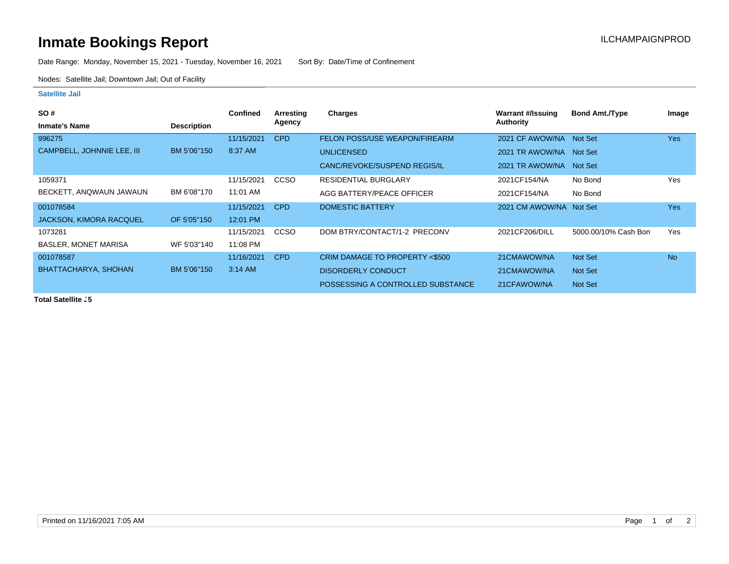## **Inmate Bookings Report Installation ILCHAMPAIGNPROD**

Date Range: Monday, November 15, 2021 - Tuesday, November 16, 2021 Sort By: Date/Time of Confinement

Nodes: Satellite Jail; Downtown Jail; Out of Facility

## **Satellite Jail**

| <b>SO#</b>                     |                    | <b>Confined</b> | Arresting   | Charges                           | Warrant #/Issuing       | <b>Bond Amt./Type</b> | Image      |
|--------------------------------|--------------------|-----------------|-------------|-----------------------------------|-------------------------|-----------------------|------------|
| <b>Inmate's Name</b>           | <b>Description</b> |                 | Agency      |                                   | Authority               |                       |            |
| 996275                         |                    | 11/15/2021      | <b>CPD</b>  | FELON POSS/USE WEAPON/FIREARM     | 2021 CF AWOW/NA         | Not Set               | <b>Yes</b> |
| CAMPBELL, JOHNNIE LEE, III     | BM 5'06"150        | 8:37 AM         |             | <b>UNLICENSED</b>                 | 2021 TR AWOW/NA         | Not Set               |            |
|                                |                    |                 |             | CANC/REVOKE/SUSPEND REGIS/IL      | 2021 TR AWOW/NA         | <b>Not Set</b>        |            |
| 1059371                        |                    | 11/15/2021      | CCSO        | <b>RESIDENTIAL BURGLARY</b>       | 2021CF154/NA            | No Bond               | Yes        |
| BECKETT, ANQWAUN JAWAUN        | BM 6'08"170        | 11:01 AM        |             | AGG BATTERY/PEACE OFFICER         | 2021CF154/NA            | No Bond               |            |
| 001078584                      |                    | 11/15/2021      | <b>CPD</b>  | <b>DOMESTIC BATTERY</b>           | 2021 CM AWOW/NA Not Set |                       | <b>Yes</b> |
| <b>JACKSON, KIMORA RACQUEL</b> | OF 5'05"150        | 12:01 PM        |             |                                   |                         |                       |            |
| 1073281                        |                    | 11/15/2021      | <b>CCSO</b> | DOM BTRY/CONTACT/1-2 PRECONV      | 2021CF206/DILL          | 5000.00/10% Cash Bon  | Yes        |
| <b>BASLER, MONET MARISA</b>    | WF 5'03"140        | 11:08 PM        |             |                                   |                         |                       |            |
| 001078587                      |                    | 11/16/2021      | <b>CPD</b>  | CRIM DAMAGE TO PROPERTY <\$500    | 21CMAWOW/NA             | <b>Not Set</b>        | <b>No</b>  |
| BHATTACHARYA, SHOHAN           | BM 5'06"150        | $3:14$ AM       |             | <b>DISORDERLY CONDUCT</b>         | 21CMAWOW/NA             | Not Set               |            |
|                                |                    |                 |             | POSSESSING A CONTROLLED SUBSTANCE | 21CFAWOW/NA             | Not Set               |            |

**Total Satellite J5**